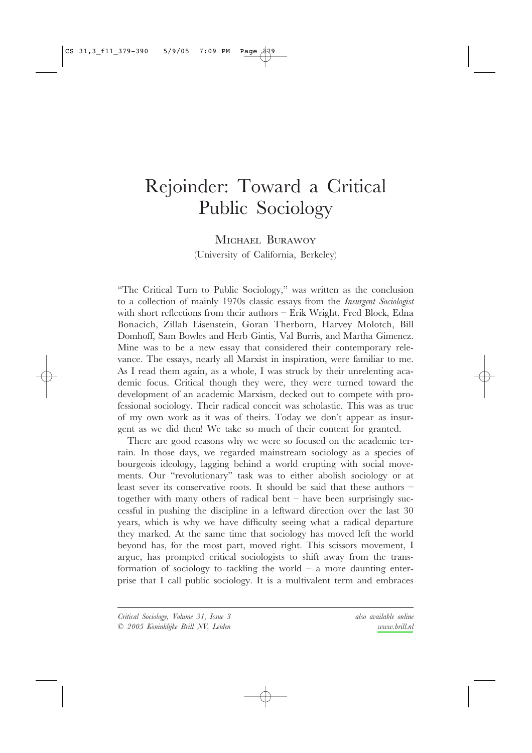# Rejoinder: Toward a Critical Public Sociology

# MICHAEL BURAWOY (University of California, Berkeley)

"The Critical Turn to Public Sociology," was written as the conclusion to a collection of mainly 1970s classic essays from the *Insurgent Sociologist* with short reflections from their authors - Erik Wright, Fred Block, Edna Bonacich, Zillah Eisenstein, Goran Therborn, Harvey Molotch, Bill Domhoff, Sam Bowles and Herb Gintis, Val Burris, and Martha Gimenez. Mine was to be a new essay that considered their contemporary relevance. The essays, nearly all Marxist in inspiration, were familiar to me. As I read them again, as a whole, I was struck by their unrelenting academic focus. Critical though they were, they were turned toward the development of an academic Marxism, decked out to compete with professional sociology. Their radical conceit was scholastic. This was as true of my own work as it was of theirs. Today we don't appear as insurgent as we did then! We take so much of their content for granted.

There are good reasons why we were so focused on the academic terrain. In those days, we regarded mainstream sociology as a species of bourgeois ideology, lagging behind a world erupting with social movements. Our "revolutionary" task was to either abolish sociology or at least sever its conservative roots. It should be said that these authors  $$ together with many others of radical bent  $-$  have been surprisingly successful in pushing the discipline in a leftward direction over the last 30 years, which is why we have difficulty seeing what a radical departure they marked. At the same time that sociology has moved left the world beyond has, for the most part, moved right. This scissors movement, I argue, has prompted critical sociologists to shift away from the transformation of sociology to tackling the world – a more daunting enterprise that I call public sociology. It is a multivalent term and embraces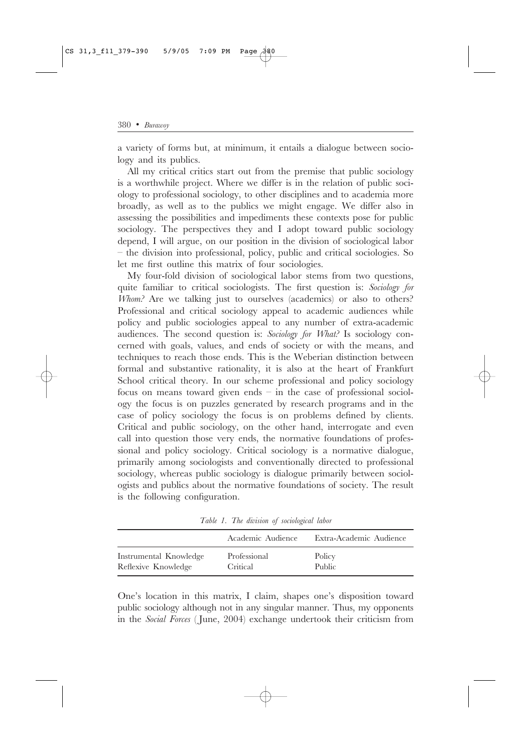a variety of forms but, at minimum, it entails a dialogue between sociology and its publics.

All my critical critics start out from the premise that public sociology is a worthwhile project. Where we differ is in the relation of public sociology to professional sociology, to other disciplines and to academia more broadly, as well as to the publics we might engage. We differ also in assessing the possibilities and impediments these contexts pose for public sociology. The perspectives they and I adopt toward public sociology depend, I will argue, on our position in the division of sociological labor  $-$  the division into professional, policy, public and critical sociologies. So let me first outline this matrix of four sociologies.

My four-fold division of sociological labor stems from two questions, quite familiar to critical sociologists. The first question is: Sociology for Whom? Are we talking just to ourselves (academics) or also to others? Professional and critical sociology appeal to academic audiences while policy and public sociologies appeal to any number of extra-academic audiences. The second question is: Sociology for What? Is sociology concerned with goals, values, and ends of society or with the means, and techniques to reach those ends. This is the Weberian distinction between formal and substantive rationality, it is also at the heart of Frankfurt School critical theory. In our scheme professional and policy sociology focus on means toward given ends - in the case of professional sociology the focus is on puzzles generated by research programs and in the case of policy sociology the focus is on problems defined by clients. Critical and public sociology, on the other hand, interrogate and even call into question those very ends, the normative foundations of professional and policy sociology. Critical sociology is a normative dialogue, primarily among sociologists and conventionally directed to professional sociology, whereas public sociology is dialogue primarily between sociologists and publics about the normative foundations of society. The result is the following configuration.

|                        | Academic Audience | Extra-Academic Audience |
|------------------------|-------------------|-------------------------|
| Instrumental Knowledge | Professional      | Policy                  |
| Reflexive Knowledge    | Critical          | Public                  |

Table 1. The division of sociological labor

One's location in this matrix, I claim, shapes one's disposition toward public sociology although not in any singular manner. Thus, my opponents in the Social Forces (June, 2004) exchange undertook their criticism from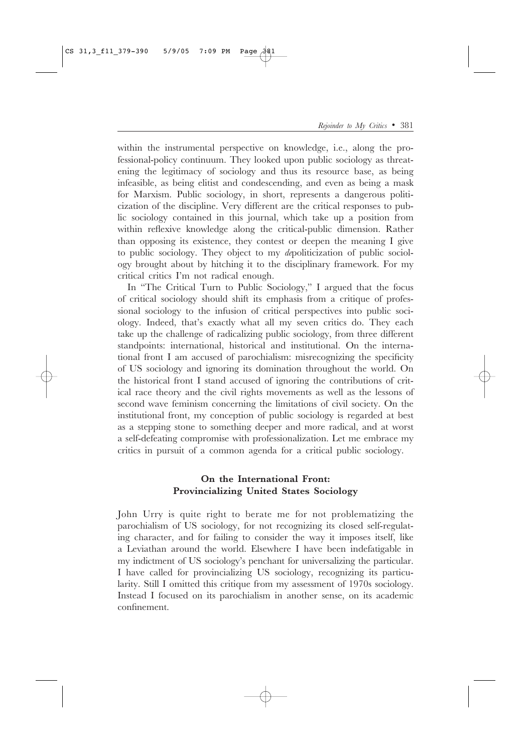within the instrumental perspective on knowledge, i.e., along the professional-policy continuum. They looked upon public sociology as threatening the legitimacy of sociology and thus its resource base, as being infeasible, as being elitist and condescending, and even as being a mask for Marxism. Public sociology, in short, represents a dangerous politicization of the discipline. Very different are the critical responses to public sociology contained in this journal, which take up a position from within reflexive knowledge along the critical-public dimension. Rather than opposing its existence, they contest or deepen the meaning I give to public sociology. They object to my depoliticization of public sociology brought about by hitching it to the disciplinary framework. For my critical critics I'm not radical enough.

In "The Critical Turn to Public Sociology," I argued that the focus of critical sociology should shift its emphasis from a critique of professional sociology to the infusion of critical perspectives into public sociology. Indeed, that's exactly what all my seven critics do. They each take up the challenge of radicalizing public sociology, from three different standpoints: international, historical and institutional. On the international front I am accused of parochialism: misrecognizing the specificity of US sociology and ignoring its domination throughout the world. On the historical front I stand accused of ignoring the contributions of critical race theory and the civil rights movements as well as the lessons of second wave feminism concerning the limitations of civil society. On the institutional front, my conception of public sociology is regarded at best as a stepping stone to something deeper and more radical, and at worst a self-defeating compromise with professionalization. Let me embrace my critics in pursuit of a common agenda for a critical public sociology.

### On the International Front: Provincializing United States Sociology

John Urry is quite right to berate me for not problematizing the parochialism of US sociology, for not recognizing its closed self-regulating character, and for failing to consider the way it imposes itself, like a Leviathan around the world. Elsewhere I have been indefatigable in my indictment of US sociology's penchant for universalizing the particular. I have called for provincializing US sociology, recognizing its particularity. Still I omitted this critique from my assessment of 1970s sociology. Instead I focused on its parochialism in another sense, on its academic confinement.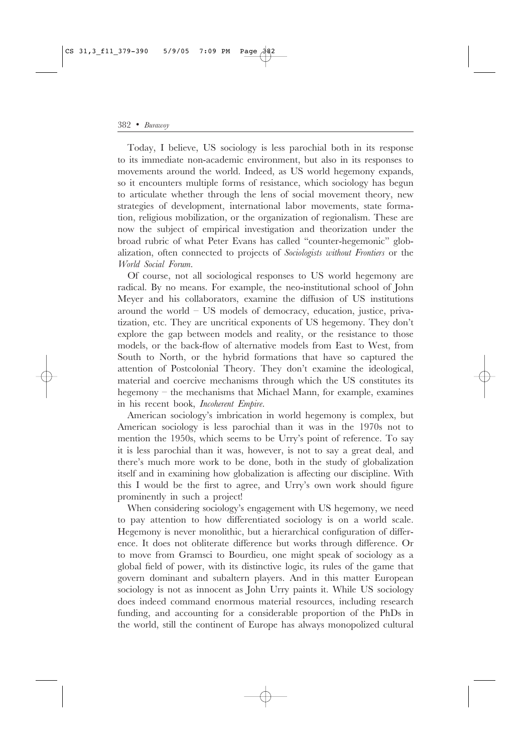Today, I believe, US sociology is less parochial both in its response to its immediate non-academic environment, but also in its responses to movements around the world. Indeed, as US world hegemony expands, so it encounters multiple forms of resistance, which sociology has begun to articulate whether through the lens of social movement theory, new strategies of development, international labor movements, state formation, religious mobilization, or the organization of regionalism. These are now the subject of empirical investigation and theorization under the broad rubric of what Peter Evans has called "counter-hegemonic" globalization, often connected to projects of Sociologists without Frontiers or the World Social Forum.

Of course, not all sociological responses to US world hegemony are radical. By no means. For example, the neo-institutional school of John Meyer and his collaborators, examine the diffusion of US institutions around the world  $-$  US models of democracy, education, justice, privatization, etc. They are uncritical exponents of US hegemony. They don't explore the gap between models and reality, or the resistance to those models, or the back-flow of alternative models from East to West, from South to North, or the hybrid formations that have so captured the attention of Postcolonial Theory. They don't examine the ideological, material and coercive mechanisms through which the US constitutes its hegemony – the mechanisms that Michael Mann, for example, examines in his recent book, Incoherent Empire.

American sociology's imbrication in world hegemony is complex, but American sociology is less parochial than it was in the 1970s not to mention the 1950s, which seems to be Urry's point of reference. To say it is less parochial than it was, however, is not to say a great deal, and there's much more work to be done, both in the study of globalization itself and in examining how globalization is affecting our discipline. With this I would be the first to agree, and Urry's own work should figure prominently in such a project!

When considering sociology's engagement with US hegemony, we need to pay attention to how differentiated sociology is on a world scale. Hegemony is never monolithic, but a hierarchical configuration of difference. It does not obliterate difference but works through difference. Or to move from Gramsci to Bourdieu, one might speak of sociology as a global field of power, with its distinctive logic, its rules of the game that govern dominant and subaltern players. And in this matter European sociology is not as innocent as John Urry paints it. While US sociology does indeed command enormous material resources, including research funding, and accounting for a considerable proportion of the PhDs in the world, still the continent of Europe has always monopolized cultural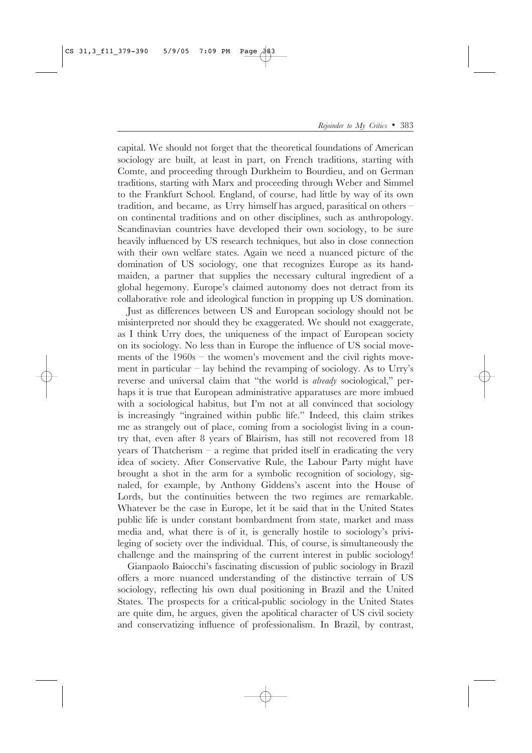capital. We should not forget that the theoretical foundations of American sociology are built, at least in part, on French traditions, starting with Comte, and proceeding through Durkheim to Bourdieu, and on German traditions, starting with Marx and proceeding through Weber and Simmel to the Frankfurt School. England, of course, had little by way of its own tradition, and became, as Urry himself has argued, parasitical on others  $$ on continental traditions and on other disciplines, such as anthropology. Scandinavian countries have developed their own sociology, to be sure heavily influenced by US research techniques, but also in close connection with their own welfare states. Again we need a nuanced picture of the domination of US sociology, one that recognizes Europe as its handmaiden, a partner that supplies the necessary cultural ingredient of a global hegemony. Europe's claimed autonomy does not detract from its collaborative role and ideological function in propping up US domination.

Just as differences between US and European sociology should not be misinterpreted nor should they be exaggerated. We should not exaggerate, as I think Urry does, the uniqueness of the impact of European society on its sociology. No less than in Europe the influence of US social movements of the  $1960s$  – the women's movement and the civil rights movement in particular – lay behind the revamping of sociology. As to Urry's reverse and universal claim that "the world is *already* sociological," perhaps it is true that European administrative apparatuses are more imbued with a sociological habitus, but I'm not at all convinced that sociology is increasingly "ingrained within public life." Indeed, this claim strikes me as strangely out of place, coming from a sociologist living in a country that, even after 8 years of Blairism, has still not recovered from 18 years of Thatcherism  $-$  a regime that prided itself in eradicating the very idea of society. After Conservative Rule, the Labour Party might have brought a shot in the arm for a symbolic recognition of sociology, signaled, for example, by Anthony Giddens's ascent into the House of Lords, but the continuities between the two regimes are remarkable. Whatever be the case in Europe, let it be said that in the United States public life is under constant bombardment from state, market and mass media and, what there is of it, is generally hostile to sociology's privileging of society over the individual. This, of course, is simultaneously the challenge and the mainspring of the current interest in public sociology!

Gianpaolo Baiocchi's fascinating discussion of public sociology in Brazil offers a more nuanced understanding of the distinctive terrain of US sociology, reflecting his own dual positioning in Brazil and the United States. The prospects for a critical-public sociology in the United States are quite dim, he argues, given the apolitical character of US civil society and conservatizing influence of professionalism. In Brazil, by contrast,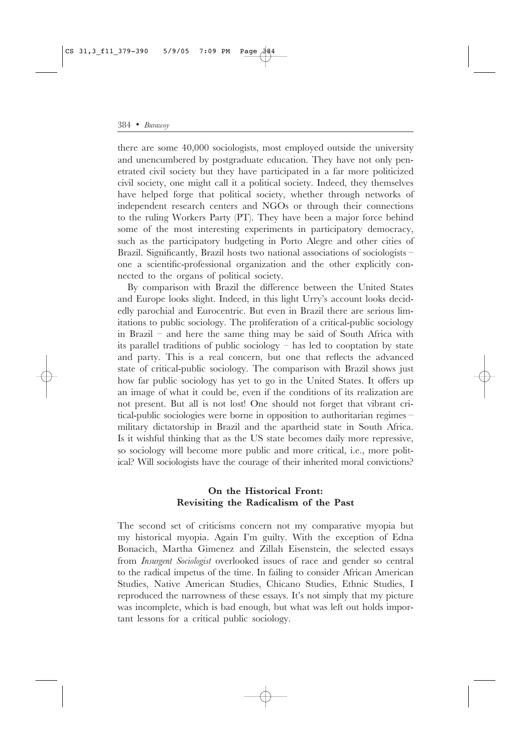there are some 40,000 sociologists, most employed outside the university and unencumbered by postgraduate education. They have not only penetrated civil society but they have participated in a far more politicized civil society, one might call it a political society. Indeed, they themselves have helped forge that political society, whether through networks of independent research centers and NGOs or through their connections to the ruling Workers Party (PT). They have been a major force behind some of the most interesting experiments in participatory democracy, such as the participatory budgeting in Porto Alegre and other cities of Brazil. Significantly, Brazil hosts two national associations of sociologists one a scientific-professional organization and the other explicitly connected to the organs of political society.

By comparison with Brazil the difference between the United States and Europe looks slight. Indeed, in this light Urry's account looks decidedly parochial and Eurocentric. But even in Brazil there are serious limitations to public sociology. The proliferation of a critical-public sociology in Brazil - and here the same thing may be said of South Africa with its parallel traditions of public sociology  $-$  has led to cooptation by state and party. This is a real concern, but one that reflects the advanced state of critical-public sociology. The comparison with Brazil shows just how far public sociology has yet to go in the United States. It offers up an image of what it could be, even if the conditions of its realization are not present. But all is not lost! One should not forget that vibrant critical-public sociologies were borne in opposition to authoritarian regimes military dictatorship in Brazil and the apartheid state in South Africa. Is it wishful thinking that as the US state becomes daily more repressive, so sociology will become more public and more critical, i.e., more political? Will sociologists have the courage of their inherited moral convictions?

#### On the Historical Front: Revisiting the Radicalism of the Past

The second set of criticisms concern not my comparative myopia but my historical myopia. Again I'm guilty. With the exception of Edna Bonacich, Martha Gimenez and Zillah Eisenstein, the selected essays from Insurgent Sociologist overlooked issues of race and gender so central to the radical impetus of the time. In failing to consider African American Studies, Native American Studies, Chicano Studies, Ethnic Studies, I reproduced the narrowness of these essays. It's not simply that my picture was incomplete, which is bad enough, but what was left out holds important lessons for a critical public sociology.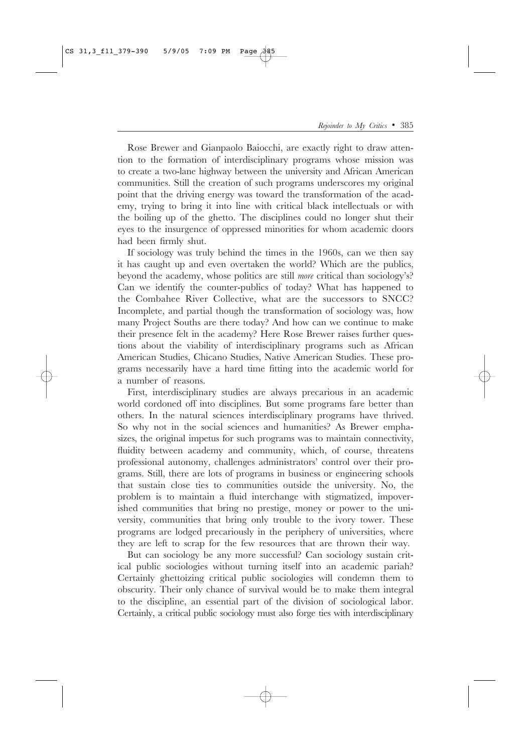Rose Brewer and Gianpaolo Baiocchi, are exactly right to draw attention to the formation of interdisciplinary programs whose mission was to create a two-lane highway between the university and African American communities. Still the creation of such programs underscores my original point that the driving energy was toward the transformation of the academy, trying to bring it into line with critical black intellectuals or with the boiling up of the ghetto. The disciplines could no longer shut their eyes to the insurgence of oppressed minorities for whom academic doors had been firmly shut.

If sociology was truly behind the times in the 1960s, can we then say it has caught up and even overtaken the world? Which are the publics, beyond the academy, whose politics are still *more* critical than sociology's? Can we identify the counter-publics of today? What has happened to the Combahee River Collective, what are the successors to SNCC? Incomplete, and partial though the transformation of sociology was, how many Project Souths are there today? And how can we continue to make their presence felt in the academy? Here Rose Brewer raises further questions about the viability of interdisciplinary programs such as African American Studies, Chicano Studies, Native American Studies. These programs necessarily have a hard time fitting into the academic world for a number of reasons.

First, interdisciplinary studies are always precarious in an academic world cordoned off into disciplines. But some programs fare better than others. In the natural sciences interdisciplinary programs have thrived. So why not in the social sciences and humanities? As Brewer emphasizes, the original impetus for such programs was to maintain connectivity, fluidity between academy and community, which, of course, threatens professional autonomy, challenges administrators' control over their programs. Still, there are lots of programs in business or engineering schools that sustain close ties to communities outside the university. No, the problem is to maintain a fluid interchange with stigmatized, impoverished communities that bring no prestige, money or power to the university, communities that bring only trouble to the ivory tower. These programs are lodged precariously in the periphery of universities, where they are left to scrap for the few resources that are thrown their way.

But can sociology be any more successful? Can sociology sustain critical public sociologies without turning itself into an academic pariah? Certainly ghettoizing critical public sociologies will condemn them to obscurity. Their only chance of survival would be to make them integral to the discipline, an essential part of the division of sociological labor. Certainly, a critical public sociology must also forge ties with interdisciplinary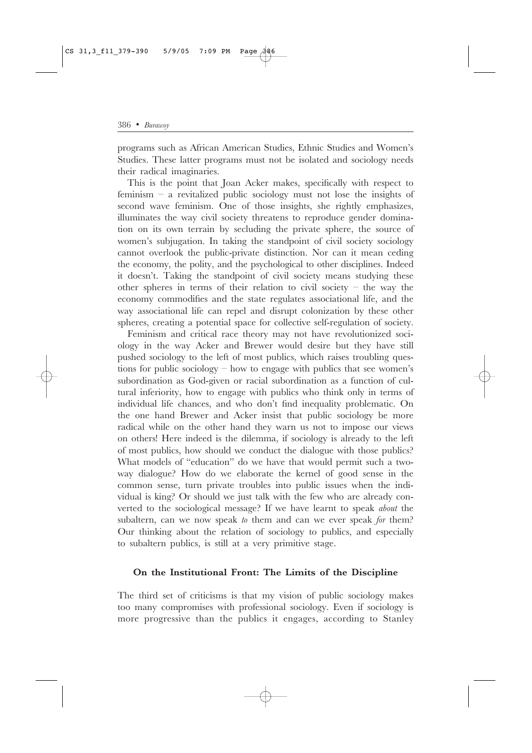programs such as African American Studies, Ethnic Studies and Women's Studies. These latter programs must not be isolated and sociology needs their radical imaginaries.

This is the point that Joan Acker makes, specifically with respect to feminism  $-$  a revitalized public sociology must not lose the insights of second wave feminism. One of those insights, she rightly emphasizes, illuminates the way civil society threatens to reproduce gender domination on its own terrain by secluding the private sphere, the source of women's subjugation. In taking the standpoint of civil society sociology cannot overlook the public-private distinction. Nor can it mean ceding the economy, the polity, and the psychological to other disciplines. Indeed it doesn't. Taking the standpoint of civil society means studying these other spheres in terms of their relation to civil society  $-$  the way the economy commodifies and the state regulates associational life, and the way associational life can repel and disrupt colonization by these other spheres, creating a potential space for collective self-regulation of society.

Feminism and critical race theory may not have revolutionized sociology in the way Acker and Brewer would desire but they have still pushed sociology to the left of most publics, which raises troubling questions for public sociology  $-$  how to engage with publics that see women's subordination as God-given or racial subordination as a function of cultural inferiority, how to engage with publics who think only in terms of individual life chances, and who don't find inequality problematic. On the one hand Brewer and Acker insist that public sociology be more radical while on the other hand they warn us not to impose our views on others! Here indeed is the dilemma, if sociology is already to the left of most publics, how should we conduct the dialogue with those publics? What models of "education" do we have that would permit such a twoway dialogue? How do we elaborate the kernel of good sense in the common sense, turn private troubles into public issues when the individual is king? Or should we just talk with the few who are already converted to the sociological message? If we have learnt to speak about the subaltern, can we now speak to them and can we ever speak for them? Our thinking about the relation of sociology to publics, and especially to subaltern publics, is still at a very primitive stage.

#### On the Institutional Front: The Limits of the Discipline

The third set of criticisms is that my vision of public sociology makes too many compromises with professional sociology. Even if sociology is more progressive than the publics it engages, according to Stanley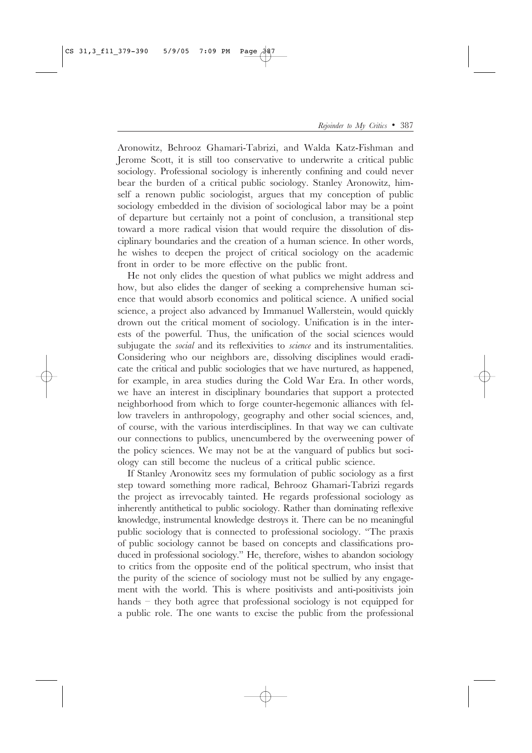Aronowitz, Behrooz Ghamari-Tabrizi, and Walda Katz-Fishman and Jerome Scott, it is still too conservative to underwrite a critical public sociology. Professional sociology is inherently confining and could never bear the burden of a critical public sociology. Stanley Aronowitz, himself a renown public sociologist, argues that my conception of public sociology embedded in the division of sociological labor may be a point of departure but certainly not a point of conclusion, a transitional step toward a more radical vision that would require the dissolution of disciplinary boundaries and the creation of a human science. In other words, he wishes to deepen the project of critical sociology on the academic front in order to be more effective on the public front.

He not only elides the question of what publics we might address and how, but also elides the danger of seeking a comprehensive human science that would absorb economics and political science. A unified social science, a project also advanced by Immanuel Wallerstein, would quickly drown out the critical moment of sociology. Unification is in the interests of the powerful. Thus, the unification of the social sciences would subjugate the *social* and its reflexivities to *science* and its instrumentalities. Considering who our neighbors are, dissolving disciplines would eradicate the critical and public sociologies that we have nurtured, as happened, for example, in area studies during the Cold War Era. In other words, we have an interest in disciplinary boundaries that support a protected neighborhood from which to forge counter-hegemonic alliances with fellow travelers in anthropology, geography and other social sciences, and, of course, with the various interdisciplines. In that way we can cultivate our connections to publics, unencumbered by the overweening power of the policy sciences. We may not be at the vanguard of publics but sociology can still become the nucleus of a critical public science.

If Stanley Aronowitz sees my formulation of public sociology as a first step toward something more radical, Behrooz Ghamari-Tabrizi regards the project as irrevocably tainted. He regards professional sociology as inherently antithetical to public sociology. Rather than dominating reflexive knowledge, instrumental knowledge destroys it. There can be no meaningful public sociology that is connected to professional sociology. "The praxis of public sociology cannot be based on concepts and classifications produced in professional sociology." He, therefore, wishes to abandon sociology to critics from the opposite end of the political spectrum, who insist that the purity of the science of sociology must not be sullied by any engagement with the world. This is where positivists and anti-positivists join hands  $-$  they both agree that professional sociology is not equipped for a public role. The one wants to excise the public from the professional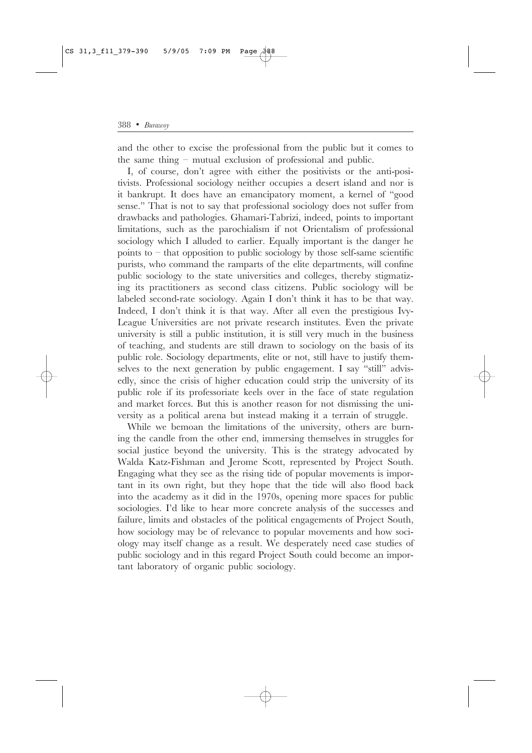and the other to excise the professional from the public but it comes to the same thing - mutual exclusion of professional and public.

I, of course, don't agree with either the positivists or the anti-positivists. Professional sociology neither occupies a desert island and nor is it bankrupt. It does have an emancipatory moment, a kernel of "good sense." That is not to say that professional sociology does not suffer from drawbacks and pathologies. Ghamari-Tabrizi, indeed, points to important limitations, such as the parochialism if not Orientalism of professional sociology which I alluded to earlier. Equally important is the danger he points to – that opposition to public sociology by those self-same scientific purists, who command the ramparts of the elite departments, will confine public sociology to the state universities and colleges, thereby stigmatizing its practitioners as second class citizens. Public sociology will be labeled second-rate sociology. Again I don't think it has to be that way. Indeed, I don't think it is that way. After all even the prestigious Ivy-League Universities are not private research institutes. Even the private university is still a public institution, it is still very much in the business of teaching, and students are still drawn to sociology on the basis of its public role. Sociology departments, elite or not, still have to justify themselves to the next generation by public engagement. I say "still" advisedly, since the crisis of higher education could strip the university of its public role if its professoriate keels over in the face of state regulation and market forces. But this is another reason for not dismissing the university as a political arena but instead making it a terrain of struggle.

While we bemoan the limitations of the university, others are burning the candle from the other end, immersing themselves in struggles for social justice beyond the university. This is the strategy advocated by Walda Katz-Fishman and Jerome Scott, represented by Project South. Engaging what they see as the rising tide of popular movements is important in its own right, but they hope that the tide will also flood back into the academy as it did in the 1970s, opening more spaces for public sociologies. I'd like to hear more concrete analysis of the successes and failure, limits and obstacles of the political engagements of Project South, how sociology may be of relevance to popular movements and how sociology may itself change as a result. We desperately need case studies of public sociology and in this regard Project South could become an important laboratory of organic public sociology.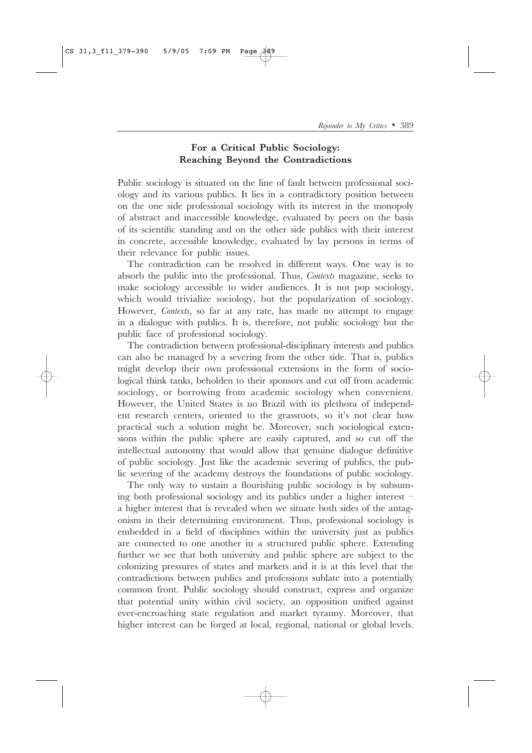## For a Critical Public Sociology: Reaching Beyond the Contradictions

Public sociology is situated on the line of fault between professional sociology and its various publics. It lies in a contradictory position between on the one side professional sociology with its interest in the monopoly of abstract and inaccessible knowledge, evaluated by peers on the basis of its scientific standing and on the other side publics with their interest in concrete, accessible knowledge, evaluated by lay persons in terms of their relevance for public issues.

The contradiction can be resolved in different ways. One way is to absorb the public into the professional. Thus, Contexts magazine, seeks to make sociology accessible to wider audiences. It is not pop sociology, which would trivialize sociology, but the popularization of sociology. However, *Contexts*, so far at any rate, has made no attempt to engage in a dialogue with publics. It is, therefore, not public sociology but the public face of professional sociology.

The contradiction between professional-disciplinary interests and publics can also be managed by a severing from the other side. That is, publics might develop their own professional extensions in the form of sociological think tanks, beholden to their sponsors and cut off from academic sociology, or borrowing from academic sociology when convenient. However, the United States is no Brazil with its plethora of independent research centers, oriented to the grassroots, so it's not clear how practical such a solution might be. Moreover, such sociological extensions within the public sphere are easily captured, and so cut off the intellectual autonomy that would allow that genuine dialogue definitive of public sociology. Just like the academic severing of publics, the public severing of the academy destroys the foundations of public sociology.

The only way to sustain a flourishing public sociology is by subsuming both professional sociology and its publics under a higher interest a higher interest that is revealed when we situate both sides of the antagonism in their determining environment. Thus, professional sociology is embedded in a field of disciplines within the university just as publics are connected to one another in a structured public sphere. Extending further we see that both university and public sphere are subject to the colonizing pressures of states and markets and it is at this level that the contradictions between publics and professions sublate into a potentially common front. Public sociology should construct, express and organize that potential unity within civil society, an opposition unified against ever-encroaching state regulation and market tyranny. Moreover, that higher interest can be forged at local, regional, national or global levels.